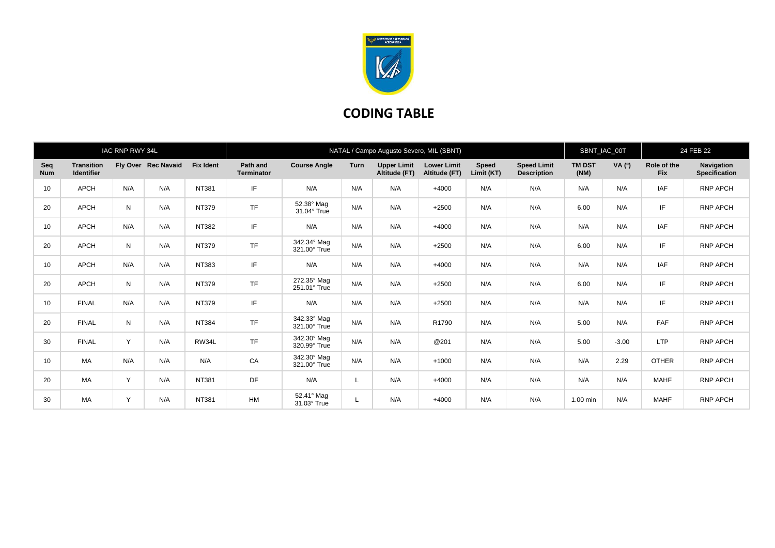

## **CODING TABLE**

|                   |                                        | IAC RNP RWY 34L |                     |                  | NATAL / Campo Augusto Severo, MIL (SBNT) |                             |             |                                     |                                     |                            |                                          |                       | SBNT_IAC_00T  |                           | 24 FEB 22                          |  |
|-------------------|----------------------------------------|-----------------|---------------------|------------------|------------------------------------------|-----------------------------|-------------|-------------------------------------|-------------------------------------|----------------------------|------------------------------------------|-----------------------|---------------|---------------------------|------------------------------------|--|
| Seq<br><b>Num</b> | <b>Transition</b><br><b>Identifier</b> |                 | Fly Over Rec Navaid | <b>Fix Ident</b> | Path and<br><b>Terminator</b>            | <b>Course Angle</b>         | <b>Turn</b> | <b>Upper Limit</b><br>Altitude (FT) | <b>Lower Limit</b><br>Altitude (FT) | <b>Speed</b><br>Limit (KT) | <b>Speed Limit</b><br><b>Description</b> | <b>TM DST</b><br>(NM) | <b>VA</b> (0) | Role of the<br><b>Fix</b> | <b>Navigation</b><br>Specification |  |
| 10                | <b>APCH</b>                            | N/A             | N/A                 | <b>NT381</b>     | IF                                       | N/A                         | N/A         | N/A                                 | $+4000$                             | N/A                        | N/A                                      | N/A                   | N/A           | IAF                       | <b>RNP APCH</b>                    |  |
| 20                | <b>APCH</b>                            | N               | N/A                 | NT379            | <b>TF</b>                                | 52.38° Mag<br>31.04° True   | N/A         | N/A                                 | $+2500$                             | N/A                        | N/A                                      | 6.00                  | N/A           | IF                        | <b>RNP APCH</b>                    |  |
| 10                | <b>APCH</b>                            | N/A             | N/A                 | NT382            | IF                                       | N/A                         | N/A         | N/A                                 | $+4000$                             | N/A                        | N/A                                      | N/A                   | N/A           | IAF                       | RNP APCH                           |  |
| 20                | <b>APCH</b>                            | N               | N/A                 | NT379            | <b>TF</b>                                | 342.34° Mag<br>321.00° True | N/A         | N/A                                 | $+2500$                             | N/A                        | N/A                                      | 6.00                  | N/A           | IF                        | RNP APCH                           |  |
| 10                | APCH                                   | N/A             | N/A                 | NT383            | IF                                       | N/A                         | N/A         | N/A                                 | $+4000$                             | N/A                        | N/A                                      | N/A                   | N/A           | <b>IAF</b>                | <b>RNP APCH</b>                    |  |
| 20                | <b>APCH</b>                            | N               | N/A                 | NT379            | <b>TF</b>                                | 272.35° Mag<br>251.01° True | N/A         | N/A                                 | $+2500$                             | N/A                        | N/A                                      | 6.00                  | N/A           | IF                        | <b>RNP APCH</b>                    |  |
| 10                | <b>FINAL</b>                           | N/A             | N/A                 | NT379            | IF                                       | N/A                         | N/A         | N/A                                 | $+2500$                             | N/A                        | N/A                                      | N/A                   | N/A           | IF                        | RNP APCH                           |  |
| 20                | <b>FINAL</b>                           | N               | N/A                 | NT384            | <b>TF</b>                                | 342.33° Mag<br>321.00° True | N/A         | N/A                                 | R1790                               | N/A                        | N/A                                      | 5.00                  | N/A           | FAF                       | <b>RNP APCH</b>                    |  |
| 30                | <b>FINAL</b>                           | Y               | N/A                 | RW34L            | <b>TF</b>                                | 342.30° Mag<br>320.99° True | N/A         | N/A                                 | @201                                | N/A                        | N/A                                      | 5.00                  | $-3.00$       | <b>LTP</b>                | <b>RNP APCH</b>                    |  |
| 10                | MA                                     | N/A             | N/A                 | N/A              | CA                                       | 342.30° Mag<br>321.00° True | N/A         | N/A                                 | $+1000$                             | N/A                        | N/A                                      | N/A                   | 2.29          | <b>OTHER</b>              | RNP APCH                           |  |
| 20                | MA                                     | Y               | N/A                 | <b>NT381</b>     | DF                                       | N/A                         | L           | N/A                                 | $+4000$                             | N/A                        | N/A                                      | N/A                   | N/A           | <b>MAHF</b>               | RNP APCH                           |  |
| 30                | MA                                     | Y               | N/A                 | <b>NT381</b>     | <b>HM</b>                                | 52.41° Mag<br>31.03° True   |             | N/A                                 | $+4000$                             | N/A                        | N/A                                      | $1.00$ min            | N/A           | <b>MAHF</b>               | <b>RNP APCH</b>                    |  |